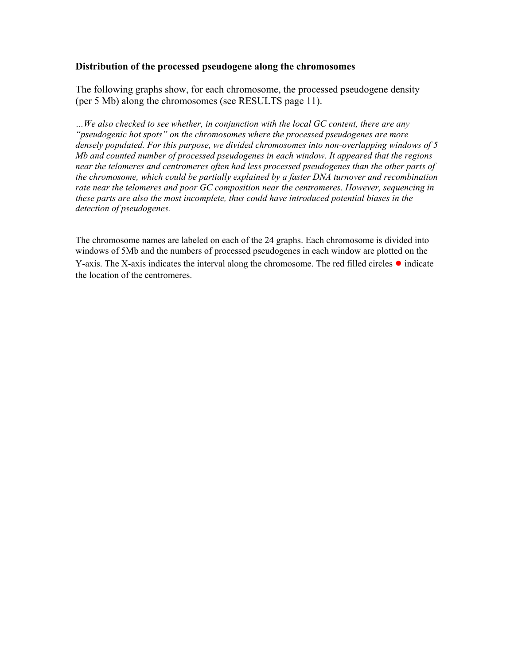## **Distribution of the processed pseudogene along the chromosomes**

The following graphs show, for each chromosome, the processed pseudogene density (per 5 Mb) along the chromosomes (see RESULTS page 11).

*…We also checked to see whether, in conjunction with the local GC content, there are any "pseudogenic hot spots" on the chromosomes where the processed pseudogenes are more densely populated. For this purpose, we divided chromosomes into non-overlapping windows of 5 Mb and counted number of processed pseudogenes in each window. It appeared that the regions near the telomeres and centromeres often had less processed pseudogenes than the other parts of the chromosome, which could be partially explained by a faster DNA turnover and recombination rate near the telomeres and poor GC composition near the centromeres. However, sequencing in these parts are also the most incomplete, thus could have introduced potential biases in the detection of pseudogenes.* 

The chromosome names are labeled on each of the 24 graphs. Each chromosome is divided into windows of 5Mb and the numbers of processed pseudogenes in each window are plotted on the Y-axis. The X-axis indicates the interval along the chromosome. The red filled circles ● indicate the location of the centromeres.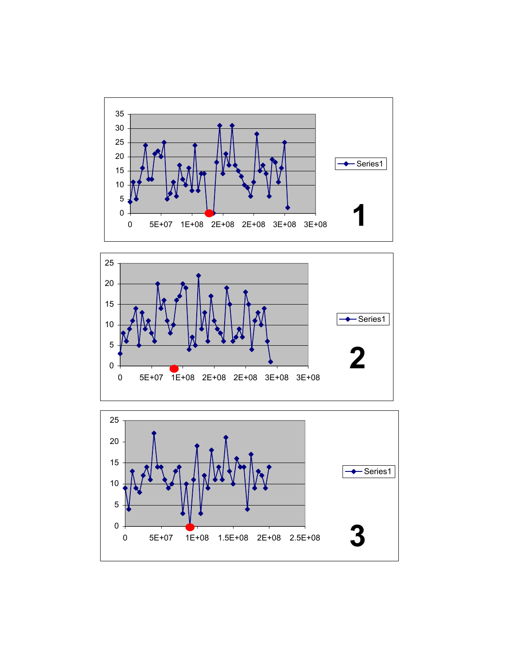



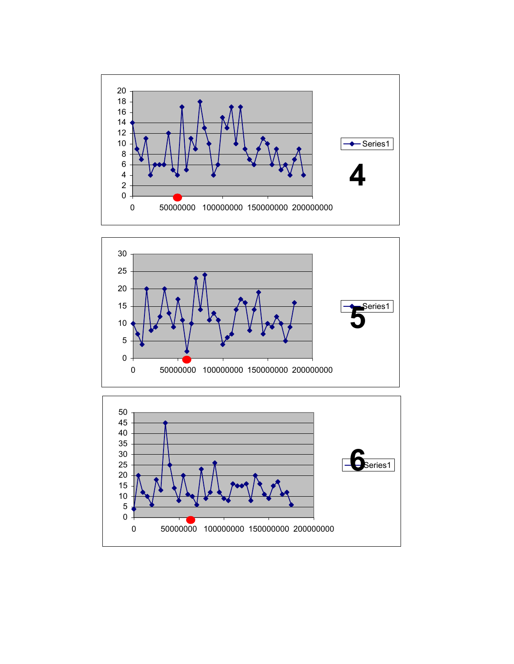



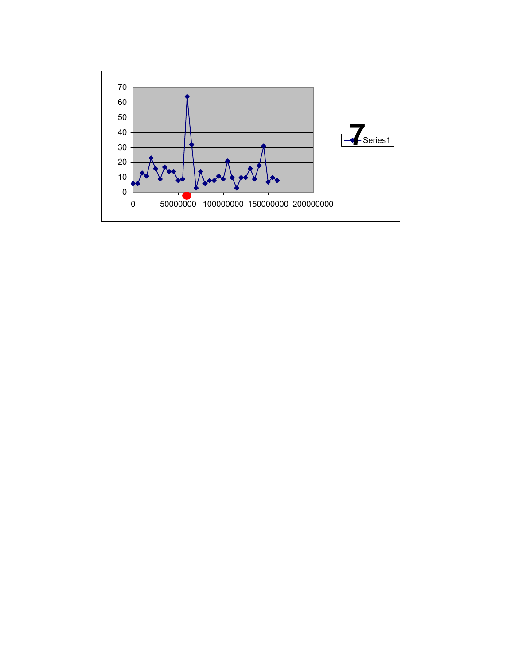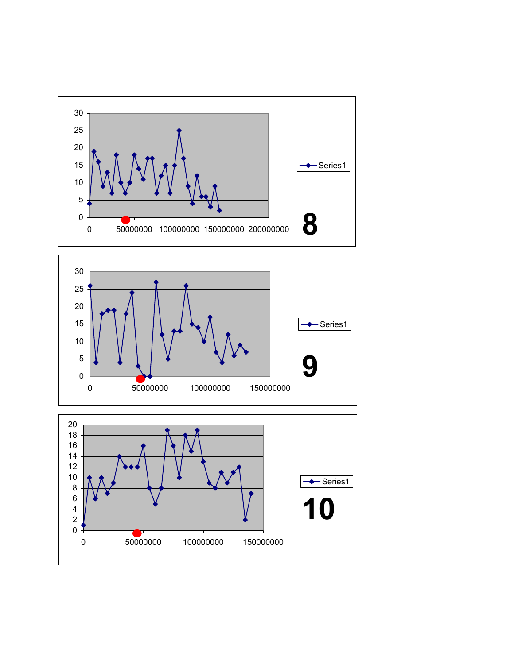



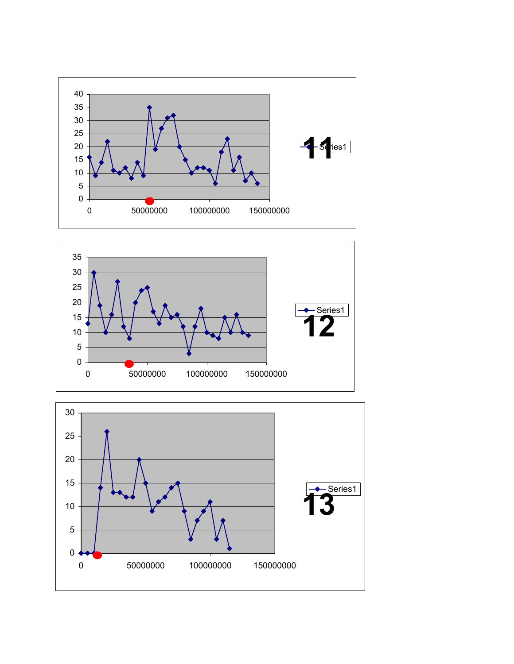



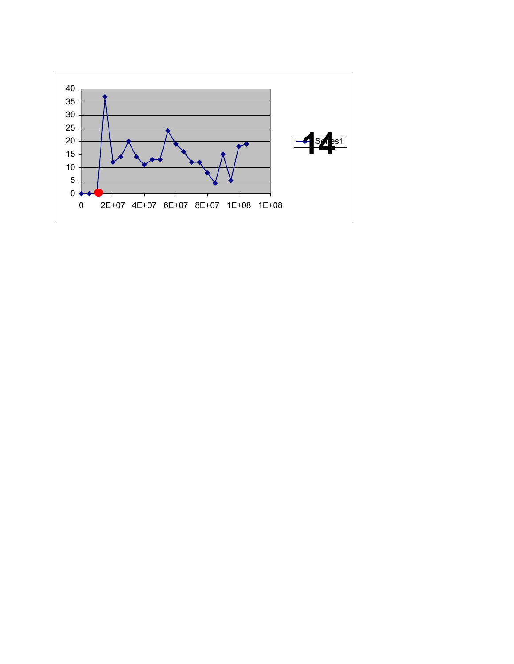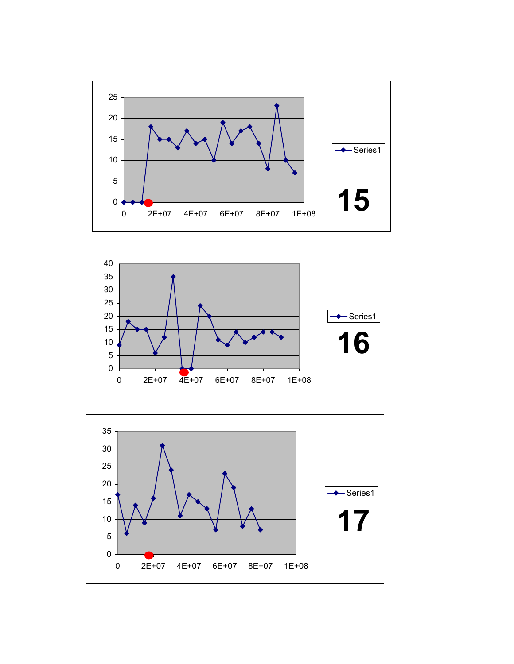



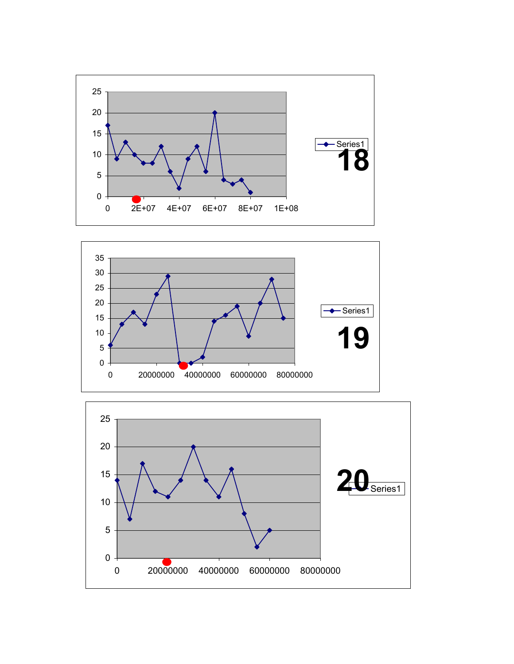



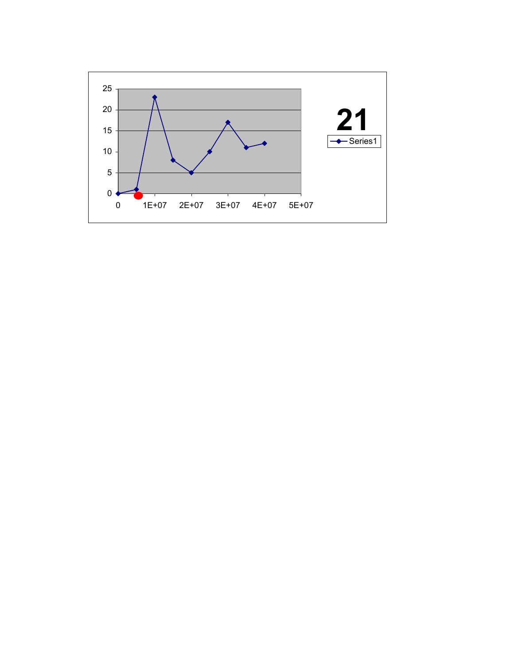